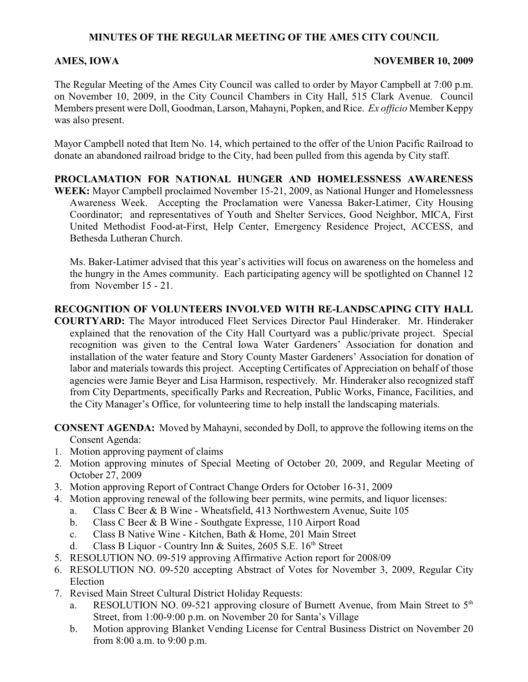# **MINUTES OF THE REGULAR MEETING OF THE AMES CITY COUNCIL**

### **AMES, IOWA NOVEMBER 10, 2009**

The Regular Meeting of the Ames City Council was called to order by Mayor Campbell at 7:00 p.m. on November 10, 2009, in the City Council Chambers in City Hall, 515 Clark Avenue. Council Members present were Doll, Goodman, Larson, Mahayni, Popken, and Rice. *Ex officio* Member Keppy was also present.

Mayor Campbell noted that Item No. 14, which pertained to the offer of the Union Pacific Railroad to donate an abandoned railroad bridge to the City, had been pulled from this agenda by City staff.

**PROCLAMATION FOR NATIONAL HUNGER AND HOMELESSNESS AWARENESS WEEK:** Mayor Campbell proclaimed November 15-21, 2009, as National Hunger and Homelessness Awareness Week. Accepting the Proclamation were Vanessa Baker-Latimer, City Housing Coordinator; and representatives of Youth and Shelter Services, Good Neighbor, MICA, First United Methodist Food-at-First, Help Center, Emergency Residence Project, ACCESS, and Bethesda Lutheran Church.

Ms. Baker-Latimer advised that this year's activities will focus on awareness on the homeless and the hungry in the Ames community. Each participating agency will be spotlighted on Channel 12 from November 15 - 21.

# **RECOGNITION OF VOLUNTEERS INVOLVED WITH RE-LANDSCAPING CITY HALL**

**COURTYARD:** The Mayor introduced Fleet Services Director Paul Hinderaker. Mr. Hinderaker explained that the renovation of the City Hall Courtyard was a public/private project. Special recognition was given to the Central Iowa Water Gardeners' Association for donation and installation of the water feature and Story County Master Gardeners' Association for donation of labor and materials towards this project. Accepting Certificates of Appreciation on behalf of those agencies were Jamie Beyer and Lisa Harmison, respectively. Mr. Hinderaker also recognized staff from City Departments, specifically Parks and Recreation, Public Works, Finance, Facilities, and the City Manager's Office, for volunteering time to help install the landscaping materials.

**CONSENT AGENDA:** Moved by Mahayni, seconded by Doll, to approve the following items on the Consent Agenda:

- 1. Motion approving payment of claims
- 2. Motion approving minutes of Special Meeting of October 20, 2009, and Regular Meeting of October 27, 2009
- 3. Motion approving Report of Contract Change Orders for October 16-31, 2009
- 4. Motion approving renewal of the following beer permits, wine permits, and liquor licenses:
	- a. Class C Beer & B Wine Wheatsfield, 413 Northwestern Avenue, Suite 105
	- b. Class C Beer & B Wine Southgate Expresse, 110 Airport Road
	- c. Class B Native Wine Kitchen, Bath & Home, 201 Main Street
	- d. Class B Liquor Country Inn & Suites, 2605 S.E. 16<sup>th</sup> Street
- 5. RESOLUTION NO. 09-519 approving Affirmative Action report for 2008/09
- 6. RESOLUTION NO. 09-520 accepting Abstract of Votes for November 3, 2009, Regular City Election
- 7. Revised Main Street Cultural District Holiday Requests:
	- a. RESOLUTION NO. 09-521 approving closure of Burnett Avenue, from Main Street to 5<sup>th</sup> Street, from 1:00-9:00 p.m. on November 20 for Santa's Village
	- b. Motion approving Blanket Vending License for Central Business District on November 20 from 8:00 a.m. to 9:00 p.m.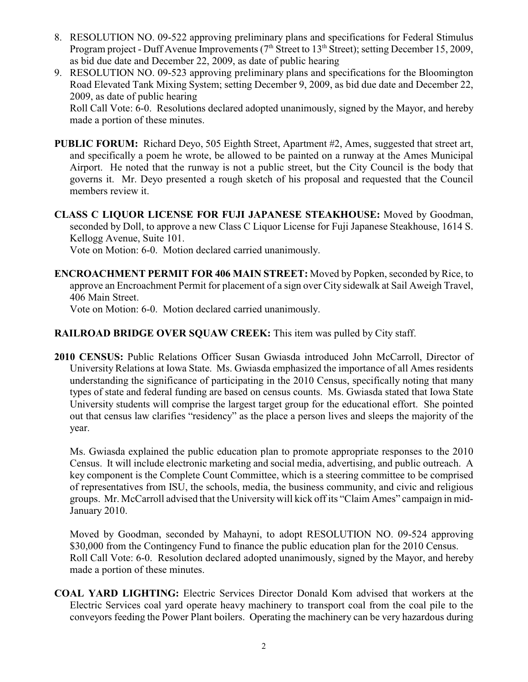- 8. RESOLUTION NO. 09-522 approving preliminary plans and specifications for Federal Stimulus Program project - Duff Avenue Improvements ( $7<sup>th</sup>$  Street to 13<sup>th</sup> Street); setting December 15, 2009, as bid due date and December 22, 2009, as date of public hearing
- 9. RESOLUTION NO. 09-523 approving preliminary plans and specifications for the Bloomington Road Elevated Tank Mixing System; setting December 9, 2009, as bid due date and December 22, 2009, as date of public hearing Roll Call Vote: 6-0. Resolutions declared adopted unanimously, signed by the Mayor, and hereby

made a portion of these minutes.

- **PUBLIC FORUM:** Richard Deyo, 505 Eighth Street, Apartment #2, Ames, suggested that street art, and specifically a poem he wrote, be allowed to be painted on a runway at the Ames Municipal Airport. He noted that the runway is not a public street, but the City Council is the body that governs it. Mr. Deyo presented a rough sketch of his proposal and requested that the Council members review it.
- **CLASS C LIQUOR LICENSE FOR FUJI JAPANESE STEAKHOUSE:** Moved by Goodman, seconded by Doll, to approve a new Class C Liquor License for Fuji Japanese Steakhouse, 1614 S. Kellogg Avenue, Suite 101.

Vote on Motion: 6-0. Motion declared carried unanimously.

**ENCROACHMENT PERMIT FOR 406 MAIN STREET:** Moved by Popken, seconded by Rice, to approve an Encroachment Permit for placement of a sign over City sidewalk at Sail Aweigh Travel, 406 Main Street.

Vote on Motion: 6-0. Motion declared carried unanimously.

# **RAILROAD BRIDGE OVER SQUAW CREEK:** This item was pulled by City staff.

**2010 CENSUS:** Public Relations Officer Susan Gwiasda introduced John McCarroll, Director of University Relations at Iowa State. Ms. Gwiasda emphasized the importance of all Ames residents understanding the significance of participating in the 2010 Census, specifically noting that many types of state and federal funding are based on census counts. Ms. Gwiasda stated that Iowa State University students will comprise the largest target group for the educational effort. She pointed out that census law clarifies "residency" as the place a person lives and sleeps the majority of the year.

Ms. Gwiasda explained the public education plan to promote appropriate responses to the 2010 Census. It will include electronic marketing and social media, advertising, and public outreach. A key component is the Complete Count Committee, which is a steering committee to be comprised of representatives from ISU, the schools, media, the business community, and civic and religious groups. Mr. McCarroll advised that the University will kick off its "Claim Ames" campaign in mid-January 2010.

Moved by Goodman, seconded by Mahayni, to adopt RESOLUTION NO. 09-524 approving \$30,000 from the Contingency Fund to finance the public education plan for the 2010 Census. Roll Call Vote: 6-0. Resolution declared adopted unanimously, signed by the Mayor, and hereby made a portion of these minutes.

**COAL YARD LIGHTING:** Electric Services Director Donald Kom advised that workers at the Electric Services coal yard operate heavy machinery to transport coal from the coal pile to the conveyors feeding the Power Plant boilers. Operating the machinery can be very hazardous during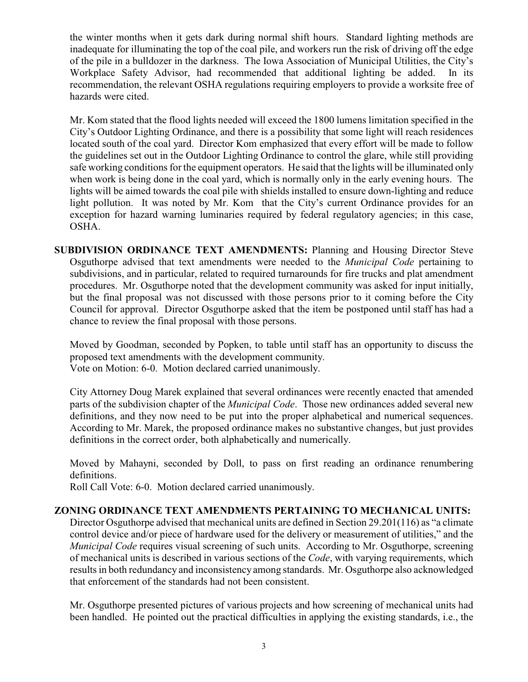the winter months when it gets dark during normal shift hours. Standard lighting methods are inadequate for illuminating the top of the coal pile, and workers run the risk of driving off the edge of the pile in a bulldozer in the darkness. The Iowa Association of Municipal Utilities, the City's Workplace Safety Advisor, had recommended that additional lighting be added. In its recommendation, the relevant OSHA regulations requiring employers to provide a worksite free of hazards were cited.

Mr. Kom stated that the flood lights needed will exceed the 1800 lumens limitation specified in the City's Outdoor Lighting Ordinance, and there is a possibility that some light will reach residences located south of the coal yard. Director Kom emphasized that every effort will be made to follow the guidelines set out in the Outdoor Lighting Ordinance to control the glare, while still providing safe working conditions for the equipment operators. He said that the lights will be illuminated only when work is being done in the coal yard, which is normally only in the early evening hours. The lights will be aimed towards the coal pile with shields installed to ensure down-lighting and reduce light pollution. It was noted by Mr. Kom that the City's current Ordinance provides for an exception for hazard warning luminaries required by federal regulatory agencies; in this case, OSHA.

**SUBDIVISION ORDINANCE TEXT AMENDMENTS:** Planning and Housing Director Steve Osguthorpe advised that text amendments were needed to the *Municipal Code* pertaining to subdivisions, and in particular, related to required turnarounds for fire trucks and plat amendment procedures. Mr. Osguthorpe noted that the development community was asked for input initially, but the final proposal was not discussed with those persons prior to it coming before the City Council for approval. Director Osguthorpe asked that the item be postponed until staff has had a chance to review the final proposal with those persons.

Moved by Goodman, seconded by Popken, to table until staff has an opportunity to discuss the proposed text amendments with the development community. Vote on Motion: 6-0. Motion declared carried unanimously.

City Attorney Doug Marek explained that several ordinances were recently enacted that amended parts of the subdivision chapter of the *Municipal Code*. Those new ordinances added several new definitions, and they now need to be put into the proper alphabetical and numerical sequences. According to Mr. Marek, the proposed ordinance makes no substantive changes, but just provides definitions in the correct order, both alphabetically and numerically.

Moved by Mahayni, seconded by Doll, to pass on first reading an ordinance renumbering definitions.

Roll Call Vote: 6-0. Motion declared carried unanimously.

### **ZONING ORDINANCE TEXT AMENDMENTS PERTAINING TO MECHANICAL UNITS:**

Director Osguthorpe advised that mechanical units are defined in Section 29.201(116) as "a climate control device and/or piece of hardware used for the delivery or measurement of utilities," and the *Municipal Code* requires visual screening of such units. According to Mr. Osguthorpe, screening of mechanical units is described in various sections of the *Code*, with varying requirements, which results in both redundancy and inconsistency among standards. Mr. Osguthorpe also acknowledged that enforcement of the standards had not been consistent.

Mr. Osguthorpe presented pictures of various projects and how screening of mechanical units had been handled. He pointed out the practical difficulties in applying the existing standards, i.e., the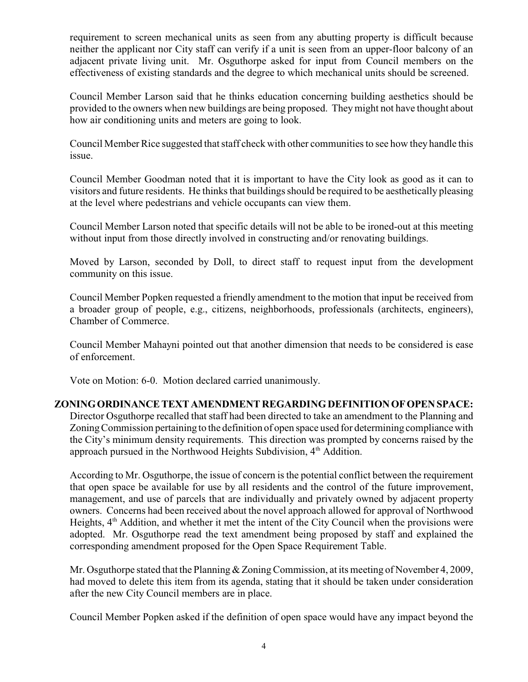requirement to screen mechanical units as seen from any abutting property is difficult because neither the applicant nor City staff can verify if a unit is seen from an upper-floor balcony of an adjacent private living unit. Mr. Osguthorpe asked for input from Council members on the effectiveness of existing standards and the degree to which mechanical units should be screened.

Council Member Larson said that he thinks education concerning building aesthetics should be provided to the owners when new buildings are being proposed. They might not have thought about how air conditioning units and meters are going to look.

Council Member Rice suggested that staff check with other communities to see how they handle this issue.

Council Member Goodman noted that it is important to have the City look as good as it can to visitors and future residents. He thinks that buildings should be required to be aesthetically pleasing at the level where pedestrians and vehicle occupants can view them.

Council Member Larson noted that specific details will not be able to be ironed-out at this meeting without input from those directly involved in constructing and/or renovating buildings.

Moved by Larson, seconded by Doll, to direct staff to request input from the development community on this issue.

Council Member Popken requested a friendly amendment to the motion that input be received from a broader group of people, e.g., citizens, neighborhoods, professionals (architects, engineers), Chamber of Commerce.

Council Member Mahayni pointed out that another dimension that needs to be considered is ease of enforcement.

Vote on Motion: 6-0. Motion declared carried unanimously.

### **ZONING ORDINANCE TEXT AMENDMENT REGARDING DEFINITION OF OPEN SPACE:**

Director Osguthorpe recalled that staff had been directed to take an amendment to the Planning and Zoning Commission pertaining to the definition of open space used for determining compliance with the City's minimum density requirements. This direction was prompted by concerns raised by the approach pursued in the Northwood Heights Subdivision,  $4<sup>th</sup>$  Addition.

According to Mr. Osguthorpe, the issue of concern is the potential conflict between the requirement that open space be available for use by all residents and the control of the future improvement, management, and use of parcels that are individually and privately owned by adjacent property owners. Concerns had been received about the novel approach allowed for approval of Northwood Heights,  $4<sup>th</sup>$  Addition, and whether it met the intent of the City Council when the provisions were adopted. Mr. Osguthorpe read the text amendment being proposed by staff and explained the corresponding amendment proposed for the Open Space Requirement Table.

Mr. Osguthorpe stated that the Planning  $&$  Zoning Commission, at its meeting of November 4, 2009, had moved to delete this item from its agenda, stating that it should be taken under consideration after the new City Council members are in place.

Council Member Popken asked if the definition of open space would have any impact beyond the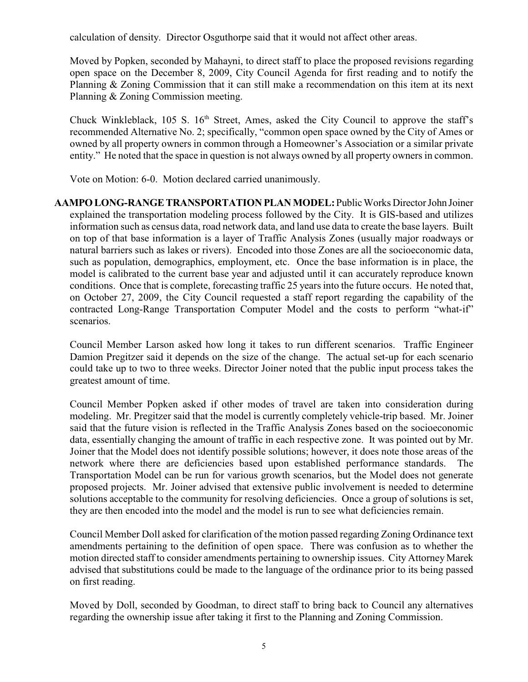calculation of density. Director Osguthorpe said that it would not affect other areas.

Moved by Popken, seconded by Mahayni, to direct staff to place the proposed revisions regarding open space on the December 8, 2009, City Council Agenda for first reading and to notify the Planning & Zoning Commission that it can still make a recommendation on this item at its next Planning & Zoning Commission meeting.

Chuck Winkleblack, 105 S. 16<sup>th</sup> Street, Ames, asked the City Council to approve the staff's recommended Alternative No. 2; specifically, "common open space owned by the City of Ames or owned by all property owners in common through a Homeowner's Association or a similar private entity." He noted that the space in question is not always owned by all property owners in common.

Vote on Motion: 6-0. Motion declared carried unanimously.

**AAMPO LONG-RANGE TRANSPORTATION PLAN MODEL:** Public Works Director John Joiner explained the transportation modeling process followed by the City. It is GIS-based and utilizes information such as census data, road network data, and land use data to create the base layers. Built on top of that base information is a layer of Traffic Analysis Zones (usually major roadways or natural barriers such as lakes or rivers). Encoded into those Zones are all the socioeconomic data, such as population, demographics, employment, etc. Once the base information is in place, the model is calibrated to the current base year and adjusted until it can accurately reproduce known conditions. Once that is complete, forecasting traffic 25 yearsinto the future occurs. He noted that, on October 27, 2009, the City Council requested a staff report regarding the capability of the contracted Long-Range Transportation Computer Model and the costs to perform "what-if" scenarios.

Council Member Larson asked how long it takes to run different scenarios. Traffic Engineer Damion Pregitzer said it depends on the size of the change. The actual set-up for each scenario could take up to two to three weeks. Director Joiner noted that the public input process takes the greatest amount of time.

Council Member Popken asked if other modes of travel are taken into consideration during modeling. Mr. Pregitzer said that the model is currently completely vehicle-trip based. Mr. Joiner said that the future vision is reflected in the Traffic Analysis Zones based on the socioeconomic data, essentially changing the amount of traffic in each respective zone. It was pointed out by Mr. Joiner that the Model does not identify possible solutions; however, it does note those areas of the network where there are deficiencies based upon established performance standards. The Transportation Model can be run for various growth scenarios, but the Model does not generate proposed projects. Mr. Joiner advised that extensive public involvement is needed to determine solutions acceptable to the community for resolving deficiencies. Once a group of solutions is set, they are then encoded into the model and the model is run to see what deficiencies remain.

Council Member Doll asked for clarification of the motion passed regarding Zoning Ordinance text amendments pertaining to the definition of open space. There was confusion as to whether the motion directed staff to consider amendments pertaining to ownership issues. City Attorney Marek advised that substitutions could be made to the language of the ordinance prior to its being passed on first reading.

Moved by Doll, seconded by Goodman, to direct staff to bring back to Council any alternatives regarding the ownership issue after taking it first to the Planning and Zoning Commission.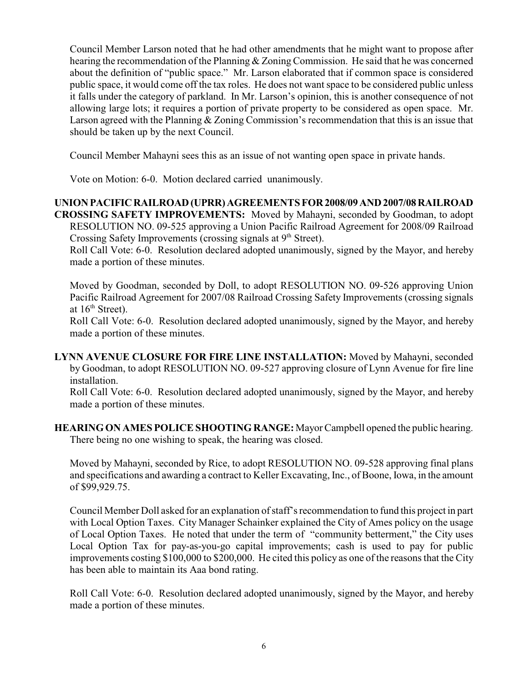Council Member Larson noted that he had other amendments that he might want to propose after hearing the recommendation of the Planning & Zoning Commission. He said that he was concerned about the definition of "public space." Mr. Larson elaborated that if common space is considered public space, it would come off the tax roles. He does not want space to be considered public unless it falls under the category of parkland. In Mr. Larson's opinion, this is another consequence of not allowing large lots; it requires a portion of private property to be considered as open space. Mr. Larson agreed with the Planning & Zoning Commission's recommendation that this is an issue that should be taken up by the next Council.

Council Member Mahayni sees this as an issue of not wanting open space in private hands.

Vote on Motion: 6-0. Motion declared carried unanimously.

# **UNION PACIFIC RAILROAD (UPRR) AGREEMENTS FOR 2008/09 AND 2007/08 RAILROAD**

**CROSSING SAFETY IMPROVEMENTS:** Moved by Mahayni, seconded by Goodman, to adopt RESOLUTION NO. 09-525 approving a Union Pacific Railroad Agreement for 2008/09 Railroad Crossing Safety Improvements (crossing signals at  $9<sup>th</sup>$  Street).

Roll Call Vote: 6-0. Resolution declared adopted unanimously, signed by the Mayor, and hereby made a portion of these minutes.

Moved by Goodman, seconded by Doll, to adopt RESOLUTION NO. 09-526 approving Union Pacific Railroad Agreement for 2007/08 Railroad Crossing Safety Improvements (crossing signals at  $16<sup>th</sup>$  Street).

Roll Call Vote: 6-0. Resolution declared adopted unanimously, signed by the Mayor, and hereby made a portion of these minutes.

**LYNN AVENUE CLOSURE FOR FIRE LINE INSTALLATION:** Moved by Mahayni, seconded by Goodman, to adopt RESOLUTION NO. 09-527 approving closure of Lynn Avenue for fire line installation.

Roll Call Vote: 6-0. Resolution declared adopted unanimously, signed by the Mayor, and hereby made a portion of these minutes.

**HEARING ON AMES POLICE SHOOTING RANGE:** Mayor Campbell opened the public hearing. There being no one wishing to speak, the hearing was closed.

Moved by Mahayni, seconded by Rice, to adopt RESOLUTION NO. 09-528 approving final plans and specifications and awarding a contract to Keller Excavating, Inc., of Boone, Iowa, in the amount of \$99,929.75.

Council Member Doll asked for an explanation of staff's recommendation to fund this project in part with Local Option Taxes. City Manager Schainker explained the City of Ames policy on the usage of Local Option Taxes. He noted that under the term of "community betterment," the City uses Local Option Tax for pay-as-you-go capital improvements; cash is used to pay for public improvements costing \$100,000 to \$200,000. He cited this policy as one of the reasons that the City has been able to maintain its Aaa bond rating.

Roll Call Vote: 6-0. Resolution declared adopted unanimously, signed by the Mayor, and hereby made a portion of these minutes.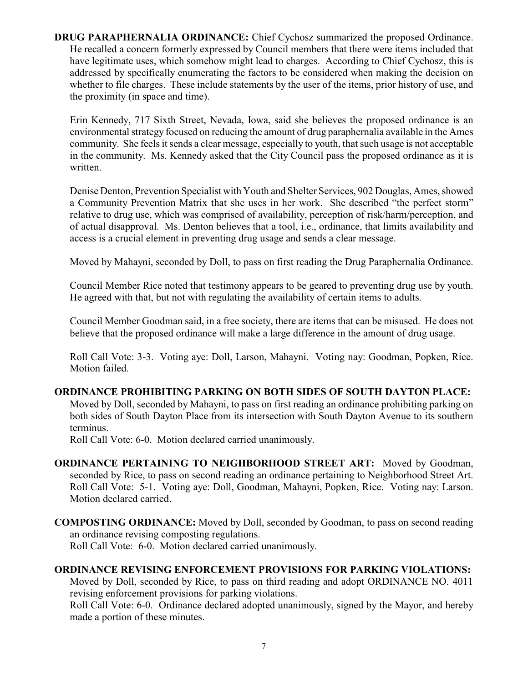**DRUG PARAPHERNALIA ORDINANCE:** Chief Cychosz summarized the proposed Ordinance. He recalled a concern formerly expressed by Council members that there were items included that have legitimate uses, which somehow might lead to charges. According to Chief Cychosz, this is addressed by specifically enumerating the factors to be considered when making the decision on whether to file charges. These include statements by the user of the items, prior history of use, and the proximity (in space and time).

Erin Kennedy, 717 Sixth Street, Nevada, Iowa, said she believes the proposed ordinance is an environmental strategy focused on reducing the amount of drug paraphernalia available in the Ames community. She feels it sends a clear message, especially to youth, that such usage is not acceptable in the community. Ms. Kennedy asked that the City Council pass the proposed ordinance as it is written.

Denise Denton, Prevention Specialist with Youth and Shelter Services, 902 Douglas, Ames, showed a Community Prevention Matrix that she uses in her work. She described "the perfect storm" relative to drug use, which was comprised of availability, perception of risk/harm/perception, and of actual disapproval. Ms. Denton believes that a tool, i.e., ordinance, that limits availability and access is a crucial element in preventing drug usage and sends a clear message.

Moved by Mahayni, seconded by Doll, to pass on first reading the Drug Paraphernalia Ordinance.

Council Member Rice noted that testimony appears to be geared to preventing drug use by youth. He agreed with that, but not with regulating the availability of certain items to adults.

Council Member Goodman said, in a free society, there are items that can be misused. He does not believe that the proposed ordinance will make a large difference in the amount of drug usage.

Roll Call Vote: 3-3. Voting aye: Doll, Larson, Mahayni. Voting nay: Goodman, Popken, Rice. Motion failed.

# **ORDINANCE PROHIBITING PARKING ON BOTH SIDES OF SOUTH DAYTON PLACE:**

Moved by Doll, seconded by Mahayni, to pass on first reading an ordinance prohibiting parking on both sides of South Dayton Place from its intersection with South Dayton Avenue to its southern terminus.

Roll Call Vote: 6-0. Motion declared carried unanimously.

- **ORDINANCE PERTAINING TO NEIGHBORHOOD STREET ART:** Moved by Goodman, seconded by Rice, to pass on second reading an ordinance pertaining to Neighborhood Street Art. Roll Call Vote: 5-1. Voting aye: Doll, Goodman, Mahayni, Popken, Rice. Voting nay: Larson. Motion declared carried.
- **COMPOSTING ORDINANCE:** Moved by Doll, seconded by Goodman, to pass on second reading an ordinance revising composting regulations. Roll Call Vote: 6-0. Motion declared carried unanimously.

# **ORDINANCE REVISING ENFORCEMENT PROVISIONS FOR PARKING VIOLATIONS:**

Moved by Doll, seconded by Rice, to pass on third reading and adopt ORDINANCE NO. 4011 revising enforcement provisions for parking violations.

Roll Call Vote: 6-0. Ordinance declared adopted unanimously, signed by the Mayor, and hereby made a portion of these minutes.